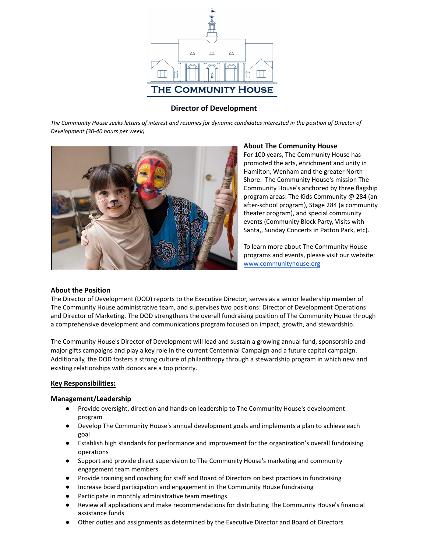

# **Director of Development**

*The Community House seeks letters of interest and resumes for dynamic candidates interested in the position of Director of Development (30-40 hours per week)*



### **About The Community House**

For 100 years, The Community House has promoted the arts, enrichment and unity in Hamilton, Wenham and the greater North Shore. The Community House's mission The Community House's anchored by three flagship program areas: The Kids Community @ 284 (an after-school program), Stage 284 (a community theater program), and special community events (Community Block Party, Visits with Santa,, Sunday Concerts in Patton Park, etc).

To learn more about The Community House programs and events, please visit our website: [www.communityhouse.org](https://communityhouse.org/)

#### **About the Position**

The Director of Development (DOD) reports to the Executive Director, serves as a senior leadership member of The Community House administrative team, and supervises two positions: Director of Development Operations and Director of Marketing. The DOD strengthens the overall fundraising position of The Community House through a comprehensive development and communications program focused on impact, growth, and stewardship.

The Community House's Director of Development will lead and sustain a growing annual fund, sponsorship and major gifts campaigns and play a key role in the current Centennial Campaign and a future capital campaign. Additionally, the DOD fosters a strong culture of philanthropy through a stewardship program in which new and existing relationships with donors are a top priority.

#### **Key Responsibilities:**

#### **Management/Leadership**

- **●** Provide oversight, direction and hands-on leadership to The Community House's development program
- **●** Develop The Community House's annual development goals and implements a plan to achieve each goal
- **●** Establish high standards for performance and improvement for the organization's overall fundraising operations
- **●** Support and provide direct supervision to The Community House's marketing and community engagement team members
- **●** Provide training and coaching for staff and Board of Directors on best practices in fundraising
- **●** Increase board participation and engagement in The Community House fundraising
- **●** Participate in monthly administrative team meetings
- **●** Review all applications and make recommendations for distributing The Community House's financial assistance funds
- **●** Other duties and assignments as determined by the Executive Director and Board of Directors